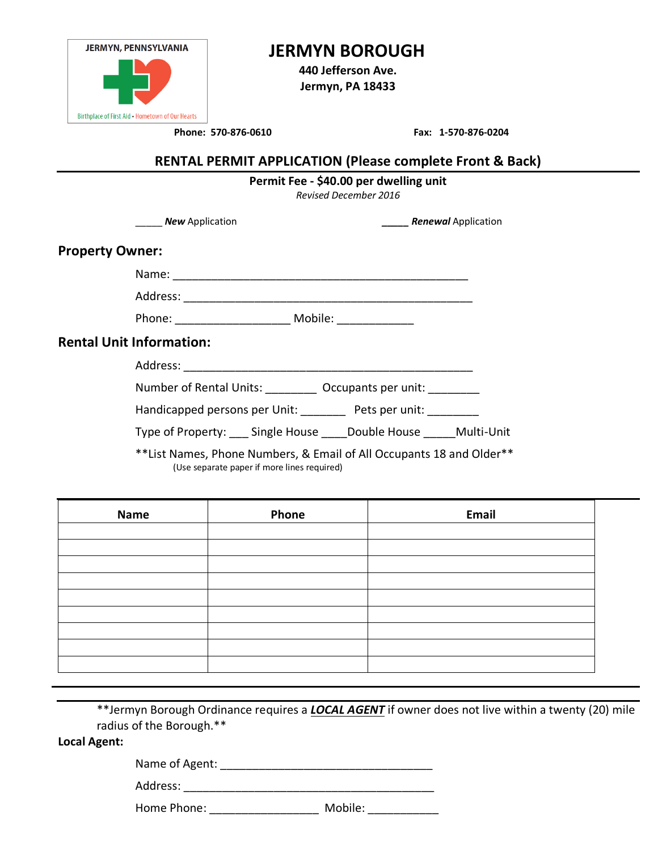| <b>JERMYN, PENNSYLVANIA</b>                      |  |  |
|--------------------------------------------------|--|--|
|                                                  |  |  |
| Birthplace of First Aid - Hometown of Our Hearts |  |  |

## **JERMYN BOROUGH**

**440 Jefferson Ave. Jermyn, PA 18433**

**Phone: 570-876-0610 Fax: 1-570-876-0204**

### **RENTAL PERMIT APPLICATION (Please complete Front & Back)**

|                                 | Permit Fee - \$40.00 per dwelling unit<br><b>Revised December 2016</b> |                                                                       |                                      |  |
|---------------------------------|------------------------------------------------------------------------|-----------------------------------------------------------------------|--------------------------------------|--|
|                                 | <b>New Application</b>                                                 |                                                                       | <b>Example 2 Renewal Application</b> |  |
| <b>Property Owner:</b>          |                                                                        |                                                                       |                                      |  |
|                                 |                                                                        |                                                                       |                                      |  |
|                                 |                                                                        |                                                                       |                                      |  |
|                                 | Phone: ___________________________ Mobile: _______________             |                                                                       |                                      |  |
| <b>Rental Unit Information:</b> |                                                                        |                                                                       |                                      |  |
|                                 |                                                                        |                                                                       |                                      |  |
|                                 |                                                                        | Number of Rental Units: ___________ Occupants per unit: _________     |                                      |  |
|                                 |                                                                        | Handicapped persons per Unit: ________ Pets per unit: ________        |                                      |  |
|                                 |                                                                        | Type of Property: Single House Double House Multi-Unit                |                                      |  |
|                                 |                                                                        | ** List Names, Phone Numbers, & Email of All Occupants 18 and Older** |                                      |  |

(Use separate paper if more lines required)

| <b>Name</b> | Phone | Email |  |
|-------------|-------|-------|--|
|             |       |       |  |
|             |       |       |  |
|             |       |       |  |
|             |       |       |  |
|             |       |       |  |
|             |       |       |  |
|             |       |       |  |
|             |       |       |  |
|             |       |       |  |

\*\*Jermyn Borough Ordinance requires a *LOCAL AGENT* if owner does not live within a twenty (20) mile radius of the Borough.\*\*

**Local Agent:**

Name of Agent: \_\_\_\_\_\_\_\_\_\_\_\_\_\_\_\_\_\_\_\_\_\_\_\_\_\_\_\_\_\_\_\_\_

Address: \_\_\_\_\_\_\_\_\_\_\_\_\_\_\_\_\_\_\_\_\_\_\_\_\_\_\_\_\_\_\_\_\_\_\_\_\_\_\_

Home Phone: \_\_\_\_\_\_\_\_\_\_\_\_\_\_\_\_\_\_\_\_\_\_\_ Mobile: \_\_\_\_\_\_\_\_\_\_\_\_\_\_